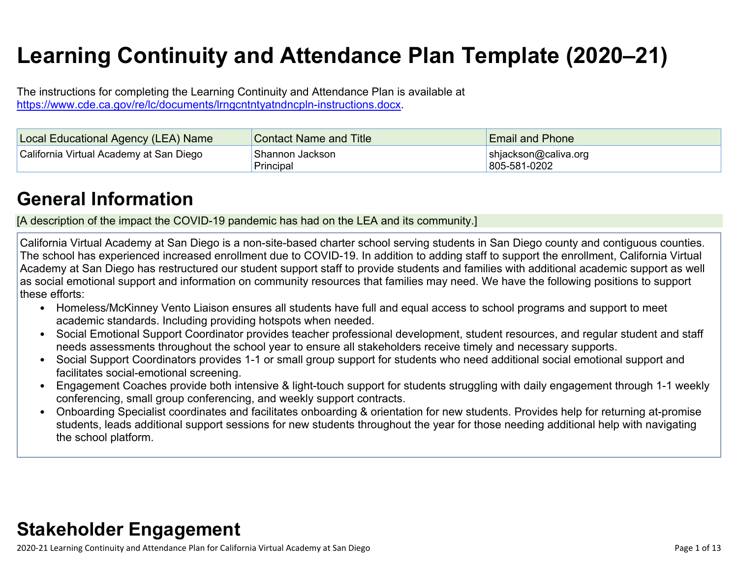# **Learning Continuity and Attendance Plan Template (2020–21)**

The instructions for completing the Learning Continuity and Attendance Plan is available at <https://www.cde.ca.gov/re/lc/documents/lrngcntntyatndncpln-instructions.docx>.

| Local Educational Agency (LEA) Name     | <b>Contact Name and Title</b> | <b>Email and Phone</b>               |
|-----------------------------------------|-------------------------------|--------------------------------------|
| California Virtual Academy at San Diego | Shannon Jackson<br>Principal  | shjackson@caliva.org<br>805-581-0202 |

# **General [Information](http://www.doc-tracking.com/screenshots/20LCP/Instructions/20LCPInstructions.htm#generalinformation)**

[A description of the impact the COVID-19 pandemic has had on the LEA and its community.]

California Virtual Academy at San Diego is a non-site-based charter school serving students in San Diego county and contiguous counties. The school has experienced increased enrollment due to COVID-19. In addition to adding staff to support the enrollment, California Virtual Academy at San Diego has restructured our student support staff to provide students and families with additional academic support as well as social emotional support and information on community resources that families may need. We have the following positions to support these efforts:

- Homeless/McKinney Vento Liaison ensures all students have full and equal access to school programs and support to meet academic standards. Including providing hotspots when needed.
- Social Emotional Support Coordinator provides teacher professional development, student resources, and regular student and staff needs assessments throughout the school year to ensure all stakeholders receive timely and necessary supports.
- Social Support Coordinators provides 1-1 or small group support for students who need additional social emotional support and facilitates social-emotional screening.
- Engagement Coaches provide both intensive & light-touch support for students struggling with daily engagement through 1-1 weekly conferencing, small group conferencing, and weekly support contracts.
- Onboarding Specialist coordinates and facilitates onboarding & orientation for new students. Provides help for returning at-promise students, leads additional support sessions for new students throughout the year for those needing additional help with navigating the school platform.

# **Stakeholder [Engagement](http://www.doc-tracking.com/screenshots/20LCP/Instructions/20LCPInstructions.htm#stakeholderengagement)**

2020-21 Learning Continuity and Attendance Plan for California Virtual Academy at San Diego Page 1 of 13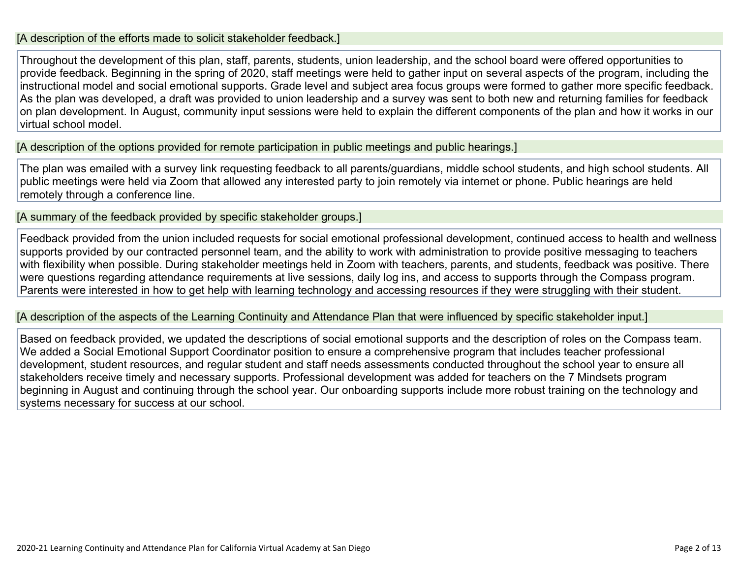#### [A description of the efforts made to solicit stakeholder feedback.]

Throughout the development of this plan, staff, parents, students, union leadership, and the school board were offered opportunities to provide feedback. Beginning in the spring of 2020, staff meetings were held to gather input on several aspects of the program, including the instructional model and social emotional supports. Grade level and subject area focus groups were formed to gather more specific feedback. As the plan was developed, a draft was provided to union leadership and a survey was sent to both new and returning families for feedback on plan development. In August, community input sessions were held to explain the different components of the plan and how it works in our virtual school model.

[A description of the options provided for remote participation in public meetings and public hearings.]

The plan was emailed with a survey link requesting feedback to all parents/guardians, middle school students, and high school students. All public meetings were held via Zoom that allowed any interested party to join remotely via internet or phone. Public hearings are held remotely through a conference line.

[A summary of the feedback provided by specific stakeholder groups.]

Feedback provided from the union included requests for social emotional professional development, continued access to health and wellness supports provided by our contracted personnel team, and the ability to work with administration to provide positive messaging to teachers with flexibility when possible. During stakeholder meetings held in Zoom with teachers, parents, and students, feedback was positive. There were questions regarding attendance requirements at live sessions, daily log ins, and access to supports through the Compass program. Parents were interested in how to get help with learning technology and accessing resources if they were struggling with their student.

[A description of the aspects of the Learning Continuity and Attendance Plan that were influenced by specific stakeholder input.]

Based on feedback provided, we updated the descriptions of social emotional supports and the description of roles on the Compass team. We added a Social Emotional Support Coordinator position to ensure a comprehensive program that includes teacher professional development, student resources, and regular student and staff needs assessments conducted throughout the school year to ensure all stakeholders receive timely and necessary supports. Professional development was added for teachers on the 7 Mindsets program beginning in August and continuing through the school year. Our onboarding supports include more robust training on the technology and systems necessary for success at our school.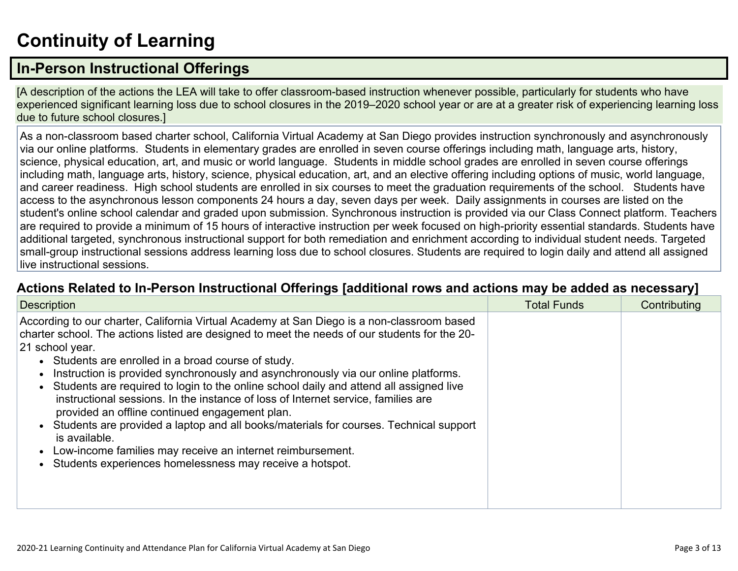# **[Continuity](http://www.doc-tracking.com/screenshots/20LCP/Instructions/20LCPInstructions.htm#ContinuityofLearning) of Learnin[g](http://www.doc-tracking.com/screenshots/20LCP/Instructions/20LCPInstructions.htm#ContinuityofLearning)**

## **In-Person [Instructional](http://www.doc-tracking.com/screenshots/20LCP/Instructions/20LCPInstructions.htm#ContinuityofLearning1) Offerings**

[A description of the actions the LEA will take to offer classroom-based instruction whenever possible, particularly for students who have experienced significant learning loss due to school closures in the 2019–2020 school year or are at a greater risk of experiencing learning loss due to future school closures.]

As a non-classroom based charter school, California Virtual Academy at San Diego provides instruction synchronously and asynchronously via our online platforms. Students in elementary grades are enrolled in seven course offerings including math, language arts, history, science, physical education, art, and music or world language. Students in middle school grades are enrolled in seven course offerings including math, language arts, history, science, physical education, art, and an elective offering including options of music, world language, and career readiness. High school students are enrolled in six courses to meet the graduation requirements of the school. Students have access to the asynchronous lesson components 24 hours a day, seven days per week. Daily assignments in courses are listed on the student's online school calendar and graded upon submission. Synchronous instruction is provided via our Class Connect platform. Teachers are required to provide a minimum of 15 hours of interactive instruction per week focused on high-priority essential standards. Students have additional targeted, synchronous instructional support for both remediation and enrichment according to individual student needs. Targeted small-group instructional sessions address learning loss due to school closures. Students are required to login daily and attend all assigned live instructional sessions.

#### **Actions Related to In-Person [Instructional](http://www.doc-tracking.com/screenshots/20LCP/Instructions/20LCPInstructions.htm#ContinuityofLearning2) Offerings [additional rows and actions may be added as necessary]**

| <b>Description</b>                                                                                                                                                                                                                                                                                                                                                                                                                                                                                                                                                                                                                                                                                                                                                                                                               | <b>Total Funds</b> | Contributing |
|----------------------------------------------------------------------------------------------------------------------------------------------------------------------------------------------------------------------------------------------------------------------------------------------------------------------------------------------------------------------------------------------------------------------------------------------------------------------------------------------------------------------------------------------------------------------------------------------------------------------------------------------------------------------------------------------------------------------------------------------------------------------------------------------------------------------------------|--------------------|--------------|
| According to our charter, California Virtual Academy at San Diego is a non-classroom based<br>charter school. The actions listed are designed to meet the needs of our students for the 20-<br>21 school year.<br>• Students are enrolled in a broad course of study.<br>Instruction is provided synchronously and asynchronously via our online platforms.<br>Students are required to login to the online school daily and attend all assigned live<br>instructional sessions. In the instance of loss of Internet service, families are<br>provided an offline continued engagement plan.<br>Students are provided a laptop and all books/materials for courses. Technical support<br>is available.<br>Low-income families may receive an internet reimbursement.<br>Students experiences homelessness may receive a hotspot. |                    |              |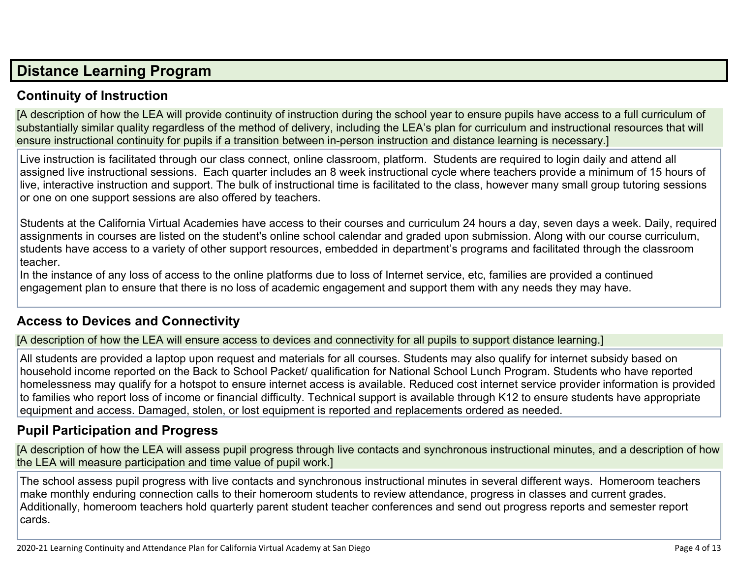## **Distance [Learning](http://www.doc-tracking.com/screenshots/20LCP/Instructions/20LCPInstructions.htm#DistanceLearningProgram) Program**

#### **Continuity of [Instruction](http://www.doc-tracking.com/screenshots/20LCP/Instructions/20LCPInstructions.htm#DistanceLearningProgram1)**

[A description of how the LEA will provide continuity of instruction during the school year to ensure pupils have access to a full curriculum of substantially similar quality regardless of the method of delivery, including the LEA's plan for curriculum and instructional resources that will ensure instructional continuity for pupils if a transition between in-person instruction and distance learning is necessary.]

Live instruction is facilitated through our class connect, online classroom, platform. Students are required to login daily and attend all assigned live instructional sessions. Each quarter includes an 8 week instructional cycle where teachers provide a minimum of 15 hours of live, interactive instruction and support. The bulk of instructional time is facilitated to the class, however many small group tutoring sessions or one on one support sessions are also offered by teachers.

Students at the California Virtual Academies have access to their courses and curriculum 24 hours a day, seven days a week. Daily, required assignments in courses are listed on the student's online school calendar and graded upon submission. Along with our course curriculum, students have access to a variety of other support resources, embedded in department's programs and facilitated through the classroom teacher.

In the instance of any loss of access to the online platforms due to loss of Internet service, etc, families are provided a continued engagement plan to ensure that there is no loss of academic engagement and support them with any needs they may have.

#### **Access to Devices and [Connectivity](http://www.doc-tracking.com/screenshots/20LCP/Instructions/20LCPInstructions.htm#DistanceLearningProgram2)**

[A description of how the LEA will ensure access to devices and connectivity for all pupils to support distance learning.]

All students are provided a laptop upon request and materials for all courses. Students may also qualify for internet subsidy based on household income reported on the Back to School Packet/ qualification for National School Lunch Program. Students who have reported homelessness may qualify for a hotspot to ensure internet access is available. Reduced cost internet service provider information is provided to families who report loss of income or financial difficulty. Technical support is available through K12 to ensure students have appropriate equipment and access. Damaged, stolen, or lost equipment is reported and replacements ordered as needed.

#### **Pupil [Participation](http://www.doc-tracking.com/screenshots/20LCP/Instructions/20LCPInstructions.htm#DistanceLearningProgram3) and Progress**

[A description of how the LEA will assess pupil progress through live contacts and synchronous instructional minutes, and a description of how the LEA will measure participation and time value of pupil work.]

The school assess pupil progress with live contacts and synchronous instructional minutes in several different ways. Homeroom teachers make monthly enduring connection calls to their homeroom students to review attendance, progress in classes and current grades. Additionally, homeroom teachers hold quarterly parent student teacher conferences and send out progress reports and semester report cards.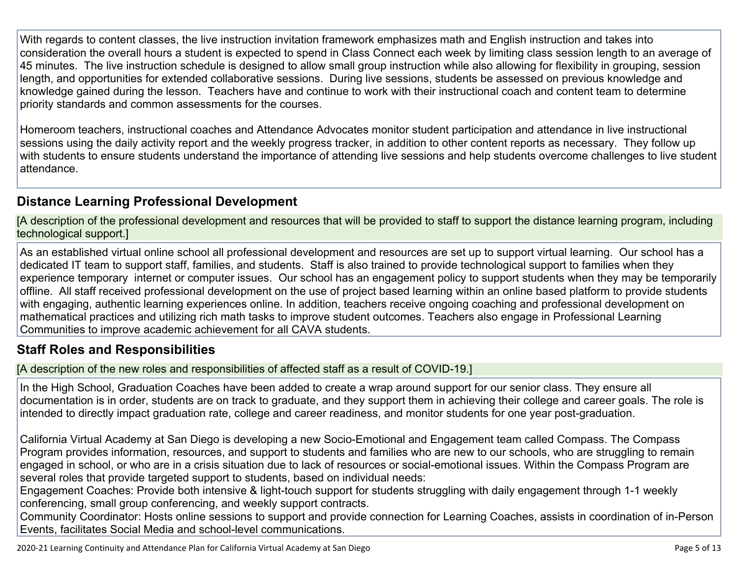With regards to content classes, the live instruction invitation framework emphasizes math and English instruction and takes into consideration the overall hours a student is expected to spend in Class Connect each week by limiting class session length to an average of 45 minutes. The live instruction schedule is designed to allow small group instruction while also allowing for flexibility in grouping, session length, and opportunities for extended collaborative sessions. During live sessions, students be assessed on previous knowledge and knowledge gained during the lesson. Teachers have and continue to work with their instructional coach and content team to determine priority standards and common assessments for the courses.

Homeroom teachers, instructional coaches and Attendance Advocates monitor student participation and attendance in live instructional sessions using the daily activity report and the weekly progress tracker, in addition to other content reports as necessary. They follow up with students to ensure students understand the importance of attending live sessions and help students overcome challenges to live student attendance.

### **Distance Learning Professional [Development](http://www.doc-tracking.com/screenshots/20LCP/Instructions/20LCPInstructions.htm#DistanceLearningProgram4)**

[A description of the professional development and resources that will be provided to staff to support the distance learning program, including technological support.]

As an established virtual online school all professional development and resources are set up to support virtual learning. Our school has a dedicated IT team to support staff, families, and students. Staff is also trained to provide technological support to families when they experience temporary internet or computer issues. Our school has an engagement policy to support students when they may be temporarily offline. All staff received professional development on the use of project based learning within an online based platform to provide students with engaging, authentic learning experiences online. In addition, teachers receive ongoing coaching and professional development on mathematical practices and utilizing rich math tasks to improve student outcomes. Teachers also engage in Professional Learning Communities to improve academic achievement for all CAVA students.

#### **Staff Roles and [Responsibilities](http://www.doc-tracking.com/screenshots/20LCP/Instructions/20LCPInstructions.htm#DistanceLearningProgram5)**

[A description of the new roles and responsibilities of affected staff as a result of COVID-19.]

In the High School, Graduation Coaches have been added to create a wrap around support for our senior class. They ensure all documentation is in order, students are on track to graduate, and they support them in achieving their college and career goals. The role is intended to directly impact graduation rate, college and career readiness, and monitor students for one year post-graduation.

California Virtual Academy at San Diego is developing a new Socio-Emotional and Engagement team called Compass. The Compass Program provides information, resources, and support to students and families who are new to our schools, who are struggling to remain engaged in school, or who are in a crisis situation due to lack of resources or social-emotional issues. Within the Compass Program are several roles that provide targeted support to students, based on individual needs:

Engagement Coaches: Provide both intensive & light-touch support for students struggling with daily engagement through 1-1 weekly conferencing, small group conferencing, and weekly support contracts.

Community Coordinator: Hosts online sessions to support and provide connection for Learning Coaches, assists in coordination of in-Person Events, facilitates Social Media and school-level communications.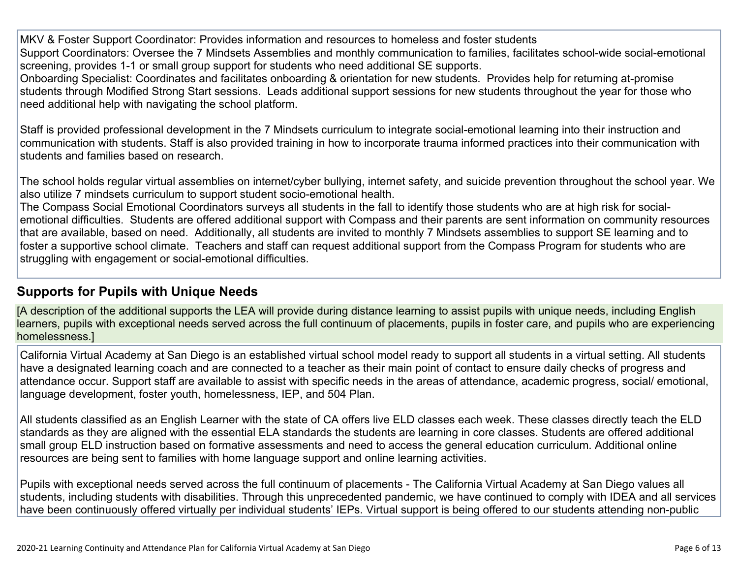MKV & Foster Support Coordinator: Provides information and resources to homeless and foster students Support Coordinators: Oversee the 7 Mindsets Assemblies and monthly communication to families, facilitates school-wide social-emotional screening, provides 1-1 or small group support for students who need additional SE supports.

Onboarding Specialist: Coordinates and facilitates onboarding & orientation for new students. Provides help for returning at-promise students through Modified Strong Start sessions. Leads additional support sessions for new students throughout the year for those who need additional help with navigating the school platform.

Staff is provided professional development in the 7 Mindsets curriculum to integrate social-emotional learning into their instruction and communication with students. Staff is also provided training in how to incorporate trauma informed practices into their communication with students and families based on research.

The school holds regular virtual assemblies on internet/cyber bullying, internet safety, and suicide prevention throughout the school year. We also utilize 7 mindsets curriculum to support student socio-emotional health.

The Compass Social Emotional Coordinators surveys all students in the fall to identify those students who are at high risk for socialemotional difficulties. Students are offered additional support with Compass and their parents are sent information on community resources that are available, based on need. Additionally, all students are invited to monthly 7 Mindsets assemblies to support SE learning and to foster a supportive school climate. Teachers and staff can request additional support from the Compass Program for students who are struggling with engagement or social-emotional difficulties.

#### **[Supports](http://www.doc-tracking.com/screenshots/20LCP/Instructions/20LCPInstructions.htm#DistanceLearningProgram6) for Pupils with Unique Needs**

[A description of the additional supports the LEA will provide during distance learning to assist pupils with unique needs, including English learners, pupils with exceptional needs served across the full continuum of placements, pupils in foster care, and pupils who are experiencing homelessness.]

California Virtual Academy at San Diego is an established virtual school model ready to support all students in a virtual setting. All students have a designated learning coach and are connected to a teacher as their main point of contact to ensure daily checks of progress and attendance occur. Support staff are available to assist with specific needs in the areas of attendance, academic progress, social/ emotional, language development, foster youth, homelessness, IEP, and 504 Plan.

All students classified as an English Learner with the state of CA offers live ELD classes each week. These classes directly teach the ELD standards as they are aligned with the essential ELA standards the students are learning in core classes. Students are offered additional small group ELD instruction based on formative assessments and need to access the general education curriculum. Additional online resources are being sent to families with home language support and online learning activities.

Pupils with exceptional needs served across the full continuum of placements - The California Virtual Academy at San Diego values all students, including students with disabilities. Through this unprecedented pandemic, we have continued to comply with IDEA and all services have been continuously offered virtually per individual students' IEPs. Virtual support is being offered to our students attending non-public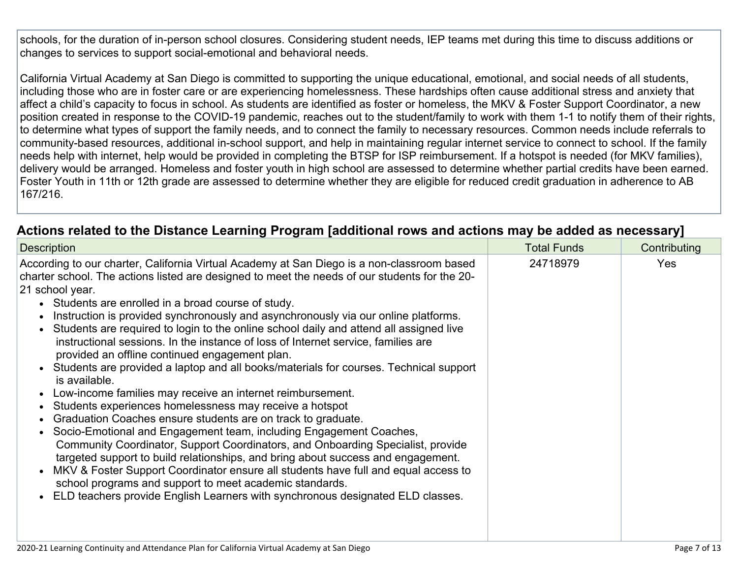schools, for the duration of in-person school closures. Considering student needs, IEP teams met during this time to discuss additions or changes to services to support social-emotional and behavioral needs.

California Virtual Academy at San Diego is committed to supporting the unique educational, emotional, and social needs of all students, including those who are in foster care or are experiencing homelessness. These hardships often cause additional stress and anxiety that affect a child's capacity to focus in school. As students are identified as foster or homeless, the MKV & Foster Support Coordinator, a new position created in response to the COVID-19 pandemic, reaches out to the student/family to work with them 1-1 to notify them of their rights, to determine what types of support the family needs, and to connect the family to necessary resources. Common needs include referrals to community-based resources, additional in-school support, and help in maintaining regular internet service to connect to school. If the family needs help with internet, help would be provided in completing the BTSP for ISP reimbursement. If a hotspot is needed (for MKV families), delivery would be arranged. Homeless and foster youth in high school are assessed to determine whether partial credits have been earned. Foster Youth in 11th or 12th grade are assessed to determine whether they are eligible for reduced credit graduation in adherence to AB 167/216.

### **Actions related to the Distance Learning Program [additional rows and actions may be added as [necessary\]](http://www.doc-tracking.com/screenshots/20LCP/Instructions/20LCPInstructions.htm#DistanceLearningProgram7)**

| <b>Description</b>                                                                                                                                                                                                                                                                                                                                                                                                                                                                                                                                                                                                                                                                                                                                                                                                                                                                                                                                                                                                                                                                                                                                                                                                                                                                                                                                                              | <b>Total Funds</b> | Contributing |  |
|---------------------------------------------------------------------------------------------------------------------------------------------------------------------------------------------------------------------------------------------------------------------------------------------------------------------------------------------------------------------------------------------------------------------------------------------------------------------------------------------------------------------------------------------------------------------------------------------------------------------------------------------------------------------------------------------------------------------------------------------------------------------------------------------------------------------------------------------------------------------------------------------------------------------------------------------------------------------------------------------------------------------------------------------------------------------------------------------------------------------------------------------------------------------------------------------------------------------------------------------------------------------------------------------------------------------------------------------------------------------------------|--------------------|--------------|--|
| According to our charter, California Virtual Academy at San Diego is a non-classroom based<br>charter school. The actions listed are designed to meet the needs of our students for the 20-<br>21 school year.<br>• Students are enrolled in a broad course of study.<br>Instruction is provided synchronously and asynchronously via our online platforms.<br>Students are required to login to the online school daily and attend all assigned live<br>instructional sessions. In the instance of loss of Internet service, families are<br>provided an offline continued engagement plan.<br>Students are provided a laptop and all books/materials for courses. Technical support<br>is available.<br>Low-income families may receive an internet reimbursement.<br>Students experiences homelessness may receive a hotspot<br>Graduation Coaches ensure students are on track to graduate.<br>Socio-Emotional and Engagement team, including Engagement Coaches,<br>Community Coordinator, Support Coordinators, and Onboarding Specialist, provide<br>targeted support to build relationships, and bring about success and engagement.<br>MKV & Foster Support Coordinator ensure all students have full and equal access to<br>school programs and support to meet academic standards.<br>ELD teachers provide English Learners with synchronous designated ELD classes. | 24718979           | <b>Yes</b>   |  |
|                                                                                                                                                                                                                                                                                                                                                                                                                                                                                                                                                                                                                                                                                                                                                                                                                                                                                                                                                                                                                                                                                                                                                                                                                                                                                                                                                                                 |                    |              |  |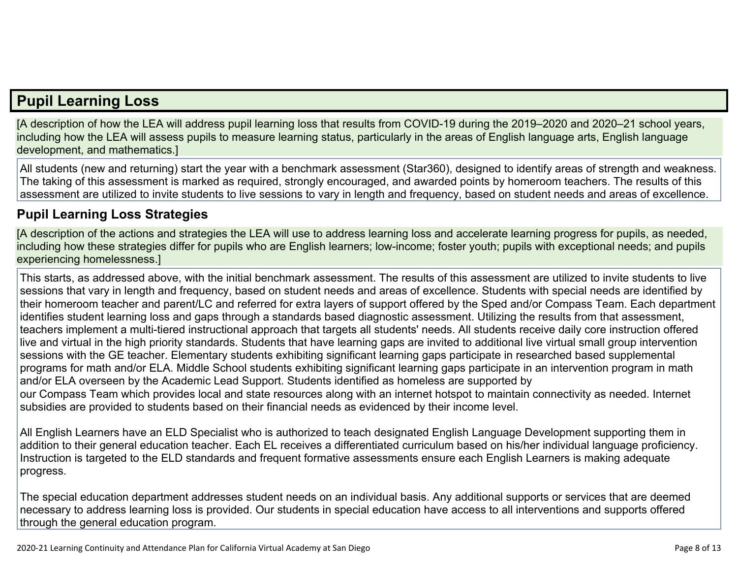## **Pupil [Learning](http://www.doc-tracking.com/screenshots/20LCP/Instructions/20LCPInstructions.htm#PupilLearningLoss) Loss**

[A description of how the LEA will address pupil learning loss that results from COVID-19 during the 2019–2020 and 2020–21 school years, including how the LEA will assess pupils to measure learning status, particularly in the areas of English language arts, English language development, and mathematics.]

All students (new and returning) start the year with a benchmark assessment (Star360), designed to identify areas of strength and weakness. The taking of this assessment is marked as required, strongly encouraged, and awarded points by homeroom teachers. The results of this assessment are utilized to invite students to live sessions to vary in length and frequency, based on student needs and areas of excellence.

#### **Pupil Learning Loss [Strategies](http://www.doc-tracking.com/screenshots/20LCP/Instructions/20LCPInstructions.htm#PupilLearningLoss1)**

[A description of the actions and strategies the LEA will use to address learning loss and accelerate learning progress for pupils, as needed, including how these strategies differ for pupils who are English learners; low-income; foster youth; pupils with exceptional needs; and pupils experiencing homelessness.]

This starts, as addressed above, with the initial benchmark assessment. The results of this assessment are utilized to invite students to live sessions that vary in length and frequency, based on student needs and areas of excellence. Students with special needs are identified by their homeroom teacher and parent/LC and referred for extra layers of support offered by the Sped and/or Compass Team. Each department identifies student learning loss and gaps through a standards based diagnostic assessment. Utilizing the results from that assessment, teachers implement a multi-tiered instructional approach that targets all students' needs. All students receive daily core instruction offered live and virtual in the high priority standards. Students that have learning gaps are invited to additional live virtual small group intervention sessions with the GE teacher. Elementary students exhibiting significant learning gaps participate in researched based supplemental programs for math and/or ELA. Middle School students exhibiting significant learning gaps participate in an intervention program in math and/or ELA overseen by the Academic Lead Support. Students identified as homeless are supported by our Compass Team which provides local and state resources along with an internet hotspot to maintain connectivity as needed. Internet subsidies are provided to students based on their financial needs as evidenced by their income level.

All English Learners have an ELD Specialist who is authorized to teach designated English Language Development supporting them in addition to their general education teacher. Each EL receives a differentiated curriculum based on his/her individual language proficiency. Instruction is targeted to the ELD standards and frequent formative assessments ensure each English Learners is making adequate progress.

The special education department addresses student needs on an individual basis. Any additional supports or services that are deemed necessary to address learning loss is provided. Our students in special education have access to all interventions and supports offered through the general education program.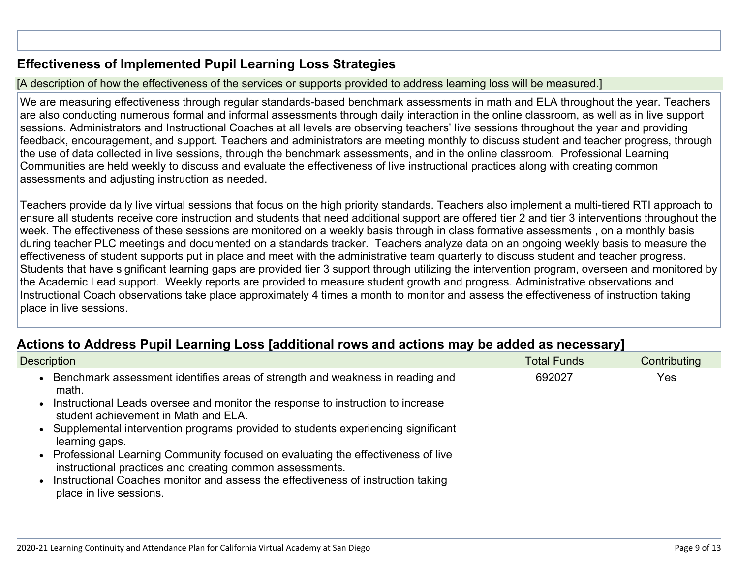#### **[Effectiveness](http://www.doc-tracking.com/screenshots/20LCP/Instructions/20LCPInstructions.htm#PupilLearningLoss2) of Implemented Pupil Learning Loss Strategies**

#### [A description of how the effectiveness of the services or supports provided to address learning loss will be measured.]

We are measuring effectiveness through regular standards-based benchmark assessments in math and ELA throughout the year. Teachers are also conducting numerous formal and informal assessments through daily interaction in the online classroom, as well as in live support sessions. Administrators and Instructional Coaches at all levels are observing teachers' live sessions throughout the year and providing feedback, encouragement, and support. Teachers and administrators are meeting monthly to discuss student and teacher progress, through the use of data collected in live sessions, through the benchmark assessments, and in the online classroom. Professional Learning Communities are held weekly to discuss and evaluate the effectiveness of live instructional practices along with creating common assessments and adjusting instruction as needed.

Teachers provide daily live virtual sessions that focus on the high priority standards. Teachers also implement a multi-tiered RTI approach to ensure all students receive core instruction and students that need additional support are offered tier 2 and tier 3 interventions throughout the week. The effectiveness of these sessions are monitored on a weekly basis through in class formative assessments , on a monthly basis during teacher PLC meetings and documented on a standards tracker. Teachers analyze data on an ongoing weekly basis to measure the effectiveness of student supports put in place and meet with the administrative team quarterly to discuss student and teacher progress. Students that have significant learning gaps are provided tier 3 support through utilizing the intervention program, overseen and monitored by the Academic Lead support. Weekly reports are provided to measure student growth and progress. Administrative observations and Instructional Coach observations take place approximately 4 times a month to monitor and assess the effectiveness of instruction taking place in live sessions.

#### **Actions to Address Pupil Learning Loss [additional rows and actions may be added as [necessary\]](http://www.doc-tracking.com/screenshots/20LCP/Instructions/20LCPInstructions.htm#PupilLearningLoss4)**

| <b>Description</b>                                                                                                                                                                                                                                                                                                                                                                                                                                                                                                                                                                      | <b>Total Funds</b> | Contributing |
|-----------------------------------------------------------------------------------------------------------------------------------------------------------------------------------------------------------------------------------------------------------------------------------------------------------------------------------------------------------------------------------------------------------------------------------------------------------------------------------------------------------------------------------------------------------------------------------------|--------------------|--------------|
| Benchmark assessment identifies areas of strength and weakness in reading and<br>math.<br>Instructional Leads oversee and monitor the response to instruction to increase<br>student achievement in Math and ELA.<br>Supplemental intervention programs provided to students experiencing significant<br>learning gaps.<br>• Professional Learning Community focused on evaluating the effectiveness of live<br>instructional practices and creating common assessments.<br>Instructional Coaches monitor and assess the effectiveness of instruction taking<br>place in live sessions. | 692027             | Yes          |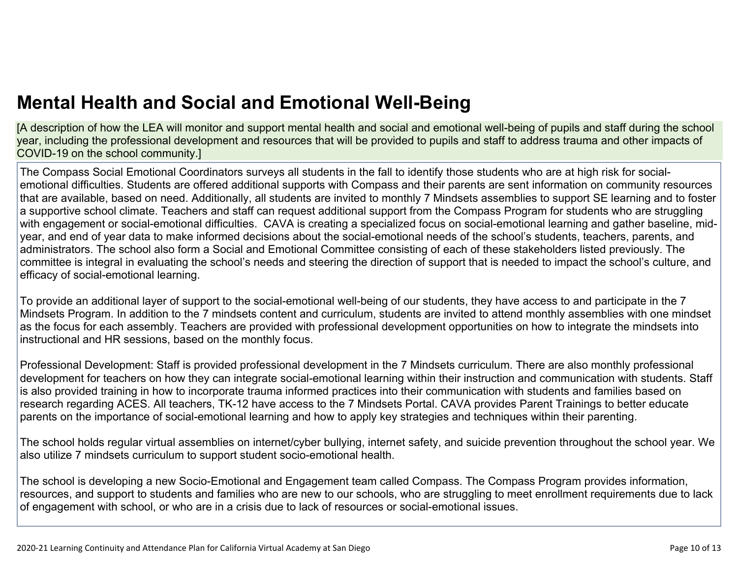[A description of how the LEA will monitor and support mental health and social and emotional well-being of pupils and staff during the school year, including the professional development and resources that will be provided to pupils and staff to address trauma and other impacts of COVID-19 on the school community.]

The Compass Social Emotional Coordinators surveys all students in the fall to identify those students who are at high risk for socialemotional difficulties. Students are offered additional supports with Compass and their parents are sent information on community resources that are available, based on need. Additionally, all students are invited to monthly 7 Mindsets assemblies to support SE learning and to foster a supportive school climate. Teachers and staff can request additional support from the Compass Program for students who are struggling with engagement or social-emotional difficulties. CAVA is creating a specialized focus on social-emotional learning and gather baseline, midyear, and end of year data to make informed decisions about the social-emotional needs of the school's students, teachers, parents, and administrators. The school also form a Social and Emotional Committee consisting of each of these stakeholders listed previously. The committee is integral in evaluating the school's needs and steering the direction of support that is needed to impact the school's culture, and efficacy of social-emotional learning.

To provide an additional layer of support to the social-emotional well-being of our students, they have access to and participate in the 7 Mindsets Program. In addition to the 7 mindsets content and curriculum, students are invited to attend monthly assemblies with one mindset as the focus for each assembly. Teachers are provided with professional development opportunities on how to integrate the mindsets into instructional and HR sessions, based on the monthly focus.

Professional Development: Staff is provided professional development in the 7 Mindsets curriculum. There are also monthly professional development for teachers on how they can integrate social-emotional learning within their instruction and communication with students. Staff is also provided training in how to incorporate trauma informed practices into their communication with students and families based on research regarding ACES. All teachers, TK-12 have access to the 7 Mindsets Portal. CAVA provides Parent Trainings to better educate parents on the importance of social-emotional learning and how to apply key strategies and techniques within their parenting.

The school holds regular virtual assemblies on internet/cyber bullying, internet safety, and suicide prevention throughout the school year. We also utilize 7 mindsets curriculum to support student socio-emotional health.

The school is developing a new Socio-Emotional and Engagement team called Compass. The Compass Program provides information, resources, and support to students and families who are new to our schools, who are struggling to meet enrollment requirements due to lack of engagement with school, or who are in a crisis due to lack of resources or social-emotional issues.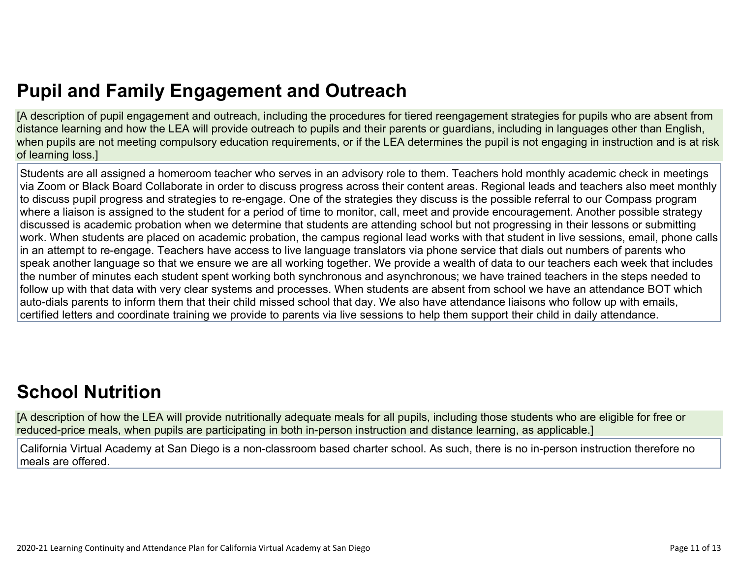# **Pupil and Family [Engagement](http://www.doc-tracking.com/screenshots/20LCP/Instructions/20LCPInstructions.htm#PupilEngagementandOutreach) and Outreach**

[A description of pupil engagement and outreach, including the procedures for tiered reengagement strategies for pupils who are absent from distance learning and how the LEA will provide outreach to pupils and their parents or guardians, including in languages other than English, when pupils are not meeting compulsory education requirements, or if the LEA determines the pupil is not engaging in instruction and is at risk of learning loss.]

Students are all assigned a homeroom teacher who serves in an advisory role to them. Teachers hold monthly academic check in meetings via Zoom or Black Board Collaborate in order to discuss progress across their content areas. Regional leads and teachers also meet monthly to discuss pupil progress and strategies to re-engage. One of the strategies they discuss is the possible referral to our Compass program where a liaison is assigned to the student for a period of time to monitor, call, meet and provide encouragement. Another possible strategy discussed is academic probation when we determine that students are attending school but not progressing in their lessons or submitting work. When students are placed on academic probation, the campus regional lead works with that student in live sessions, email, phone calls in an attempt to re-engage. Teachers have access to live language translators via phone service that dials out numbers of parents who speak another language so that we ensure we are all working together. We provide a wealth of data to our teachers each week that includes the number of minutes each student spent working both synchronous and asynchronous; we have trained teachers in the steps needed to follow up with that data with very clear systems and processes. When students are absent from school we have an attendance BOT which auto-dials parents to inform them that their child missed school that day. We also have attendance liaisons who follow up with emails, certified letters and coordinate training we provide to parents via live sessions to help them support their child in daily attendance.

# **School [Nutrition](http://www.doc-tracking.com/screenshots/20LCP/Instructions/20LCPInstructions.htm#SchoolNutrition)**

[A description of how the LEA will provide nutritionally adequate meals for all pupils, including those students who are eligible for free or reduced-price meals, when pupils are participating in both in-person instruction and distance learning, as applicable.]

California Virtual Academy at San Diego is a non-classroom based charter school. As such, there is no in-person instruction therefore no meals are offered.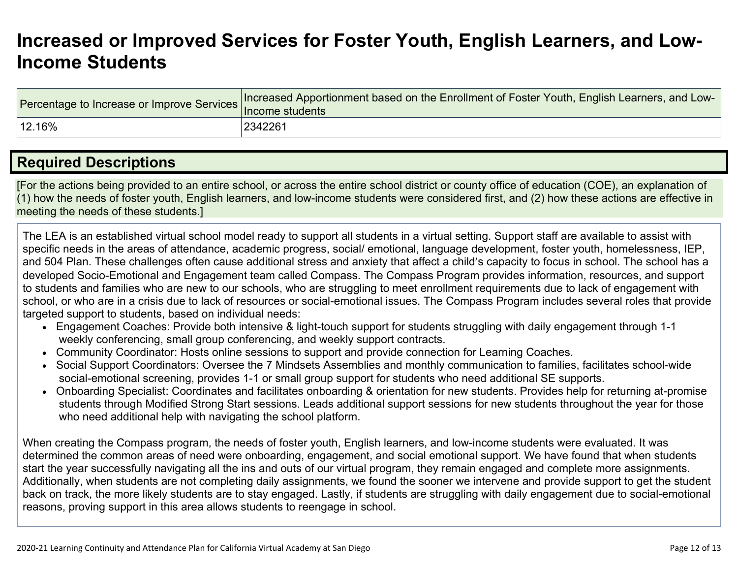# **[Increased](http://www.doc-tracking.com/screenshots/20LCP/Instructions/20LCPInstructions.htm#IncreasedorImprovedServices) or Improved Services for Foster Youth, English Learners, and Low-Income [Students](http://www.doc-tracking.com/screenshots/20LCP/Instructions/20LCPInstructions.htm#IncreasedorImprovedServices)**

|        | Tercentage to Increase or Improve Services Increased Apportionment based on the Enrollment of Foster Youth, English Learners, and LUNITY Income students |
|--------|----------------------------------------------------------------------------------------------------------------------------------------------------------|
| 12.16% | 2342261                                                                                                                                                  |

### **Required [Descriptions](http://www.doc-tracking.com/screenshots/20LCP/Instructions/20LCPInstructions.htm#RequiredDescriptions)**

[For the actions being provided to an entire school, or across the entire school district or county office of education (COE), an explanation of (1) how the needs of foster youth, English learners, and low-income students were considered first, and (2) how these actions are effective in meeting the needs of these students.]

The LEA is an established virtual school model ready to support all students in a virtual setting. Support staff are available to assist with specific needs in the areas of attendance, academic progress, social/ emotional, language development, foster youth, homelessness, IEP, and 504 Plan. These challenges often cause additional stress and anxiety that affect a child's capacity to focus in school. The school has a developed Socio-Emotional and Engagement team called Compass. The Compass Program provides information, resources, and support to students and families who are new to our schools, who are struggling to meet enrollment requirements due to lack of engagement with school, or who are in a crisis due to lack of resources or social-emotional issues. The Compass Program includes several roles that provide targeted support to students, based on individual needs:

- Engagement Coaches: Provide both intensive & light-touch support for students struggling with daily engagement through 1-1 weekly conferencing, small group conferencing, and weekly support contracts.
- Community Coordinator: Hosts online sessions to support and provide connection for Learning Coaches.
- Social Support Coordinators: Oversee the 7 Mindsets Assemblies and monthly communication to families, facilitates school-wide social-emotional screening, provides 1-1 or small group support for students who need additional SE supports.
- Onboarding Specialist: Coordinates and facilitates onboarding & orientation for new students. Provides help for returning at-promise students through Modified Strong Start sessions. Leads additional support sessions for new students throughout the year for those who need additional help with navigating the school platform.

When creating the Compass program, the needs of foster youth, English learners, and low-income students were evaluated. It was determined the common areas of need were onboarding, engagement, and social emotional support. We have found that when students start the year successfully navigating all the ins and outs of our virtual program, they remain engaged and complete more assignments. Additionally, when students are not completing daily assignments, we found the sooner we intervene and provide support to get the student back on track, the more likely students are to stay engaged. Lastly, if students are struggling with daily engagement due to social-emotional reasons, proving support in this area allows students to reengage in school.